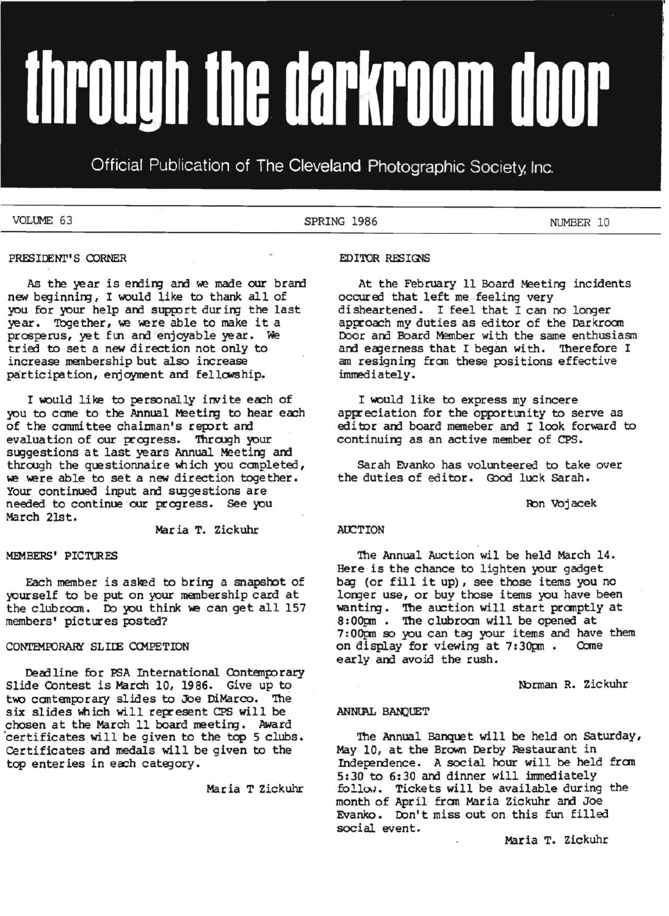# through the darkroom door

Official Publication of The Cleveland Photographic Society, Inc.

VOLUME 63 NUMBER 10

### PRESIDENT'S CORNER

As the year is ending and we made our brand new beginning, I would like to thank all of you for your help and support during the last year. Together, we were able to make it a prosperus, yet fun and enjoyable year. We tried to set a new direction not only to increase menbership but also increase participation, enjoyment and fellowship.

I would like to personally invite each of you to come to the Annual Meeting to hear each of the committee chaiman's report and evaluation of our progress. Through your suggestions at last years Annual Meeting and through the questionnaire which you completed, we were able to set a new direction together. Your continued input and suggestions are needed to continue our progress. See you March 21st.

Mar ia T. Zickuhr

### MEMBERS' PICTURES

Each member is asked to bring a snapshot of yourself to be put on your membership card at the clubroom. Do you think we can get all 157 members' pictures posted?

### CONTEMPORARY SLIDE COMPETION

Deadline for PSA International Contemporary Slide Contest is March 10, 1986. Give up to two contemporary slides to Joe DiMarco. The six slides which will represent CPS will be chosen at the March 11 board meeting. Award certificates will be given to the top 5 clubs. Certificates and medals will be given to the top enteries in each category.

Maria T Zickuhr

### EDITOR RESIGNS

At the February 11 Board Meeting incidents occured that left me feeling very disheartened. I feel that I can no longer approach my duties as editor of the Darkroom Door and Board Member with the same enthusiasm and eagerness that I began with. Therefore I am resigning from these positions effective immediately.

I would like to express my sincere appreciation for the opportunity to serve as editor and board memeber and I look forward to continuing as an active member of CPS.

sarah Evanko has volunteered to take over the duties of editor. Good luck Sarah.

Ron Vojacek

### **AUCTION**

The Annual Auction wil be held March 14. Here is the chance to lighten your gadget bag (or fill it up), see those items you no longer use, or buy those items you have been wanting. The auction will start promptly at 8:00pm. The clubroam will be opened at 7: OOpn so you can tag your items and have them on display for viewing at 7:30pm. Come early and avoid the rush.

Norman R. Zickuhr

### ANNUAL BANQUET

The Annual Banquet will be held on Saturday, May 10, at the Brown Derby Restaurant in Independence. A social hour will be held from  $5:30$  to  $6:30$  and dinner will immediately follow. Tickets will be available during the month of April fran Maria Zickuhr and Joe Evanko. Don't miss out on this fun filled social. event.

Maria T. Zickuhr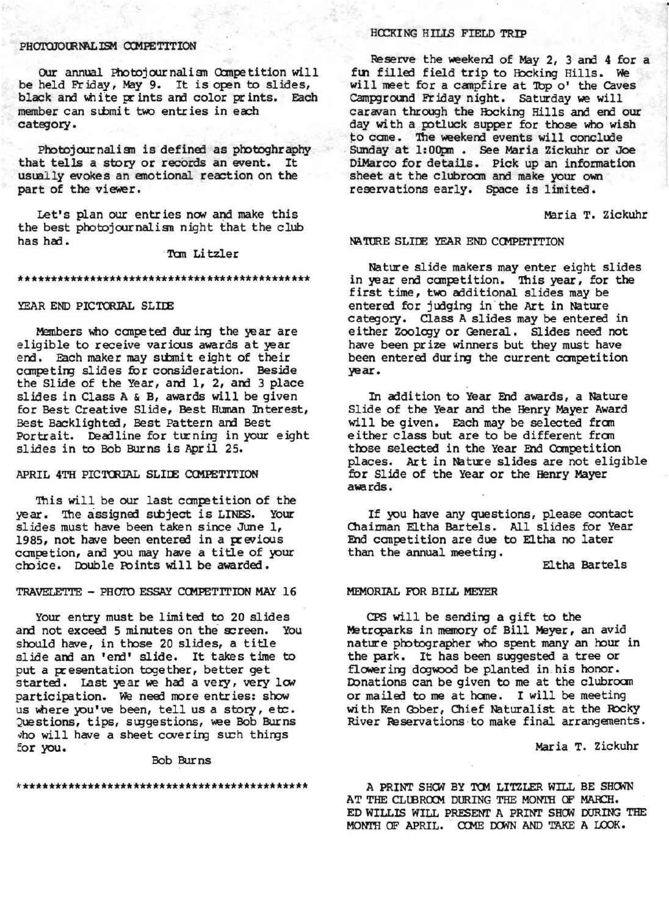### PHOTOJOURNAL ISM COMPETITION

Our annual Photojournalism Competition will be held Friday, May 9. It is open to slides, black and white prints and color prints. Each member can submit two entries in each category.

Photojournalism is defined as photoghraphy that tells a story or records an event. It usually evokes an emotional reaction on the part of the viewer.

Let's plan our entries now and make this the best photojournalism night that the club has had.

Tom Litzler

### 

### YEAR END PICTORIAL SLIDE

Members who competed during the year are eligible to receive various awards at year end. Each maker may submit eight of their competing slides for consideration. Beside the Slide of the Year, and 1, 2, and 3 place slides in Class A & B, awards will be given for Best Creative Slide, Best Human Interest, Best Backlighted, Best Pattern and Best Portrait. Deadline for turning in your eight slides in to Bob Burns is April 25.

### APRIL 4TH PICTORIAL SLIDE COMPETITION

This will be our last competition of the year. The assigned subject is LINES. Your slides must have been taken since June 1, 1985, not have been entered in a previous competion, and you may have a title of your choice. Double Points will be awarded.

### TRAVELETTE - PHOTO ESSAY COMPETITION MAY 16

Your entry must be limited to 20 slides and not exceed 5 minutes on the screen. You should have, in those 20 slides, a title slide and an 'end' slide. It takes time to put a presentation together, better get started. Last year we had a very, very low participation. We need more entries: show us where you've been, tell us a story, etc. Questions, tips, suggestions, wee Bob Burns who will have a sheet covering such things for you.

### Bob Burns

### **HOCKING HILLS FIELD TRIP**

Reserve the weekend of May 2, 3 and 4 for a fun filled field trip to Hocking Hills. We will meet for a campfire at Top o' the Caves Campground Friday night. Saturday we will caravan through the Hocking Hills and end our day with a potluck supper for those who wish to come. The weekend events will conclude Sunday at 1:00m . See Maria Zickuhr or Joe DiMarco for details. Pick up an information sheet at the clubroom and make your own reservations early. Space is limited.

Maria T. Zickuhr

### NATURE SLIDE YEAR END COMPETITION

Nature slide makers may enter eight slides in year end competition. This year, for the first time, two additional slides may be entered for judging in the Art in Nature category. Class A slides may be entered in either Zoology or General. Slides need not have been prize winners but they must have been entered during the current competition year.

In addition to Year End awards, a Nature Slide of the Year and the Henry Mayer Award will be given. Each may be selected from either class but are to be different from those selected in the Year End Competition places. Art in Nature slides are not eligible for Slide of the Year or the Henry Mayer awards.

If you have any questions, please contact Chairman Eltha Bartels. All slides for Year End competition are due to Eltha no later than the annual meeting.

Eltha Bartels

### MEMORIAL FOR BILL MEYER

CPS will be sending a gift to the Metroparks in memory of Bill Meyer, an avid nature photographer who spent many an hour in the park. It has been suggested a tree or flowering dogwood be planted in his honor. Donations can be given to me at the clubroom or mailed to me at home. I will be meeting with Ken Gober, Chief Naturalist at the Rocky River Reservations to make final arrangements.

Maria T. Zickuhr

A PRINT SHOW BY TOM LITZLER WILL BE SHOWN AT THE CLUBROOM DURING THE MONTH OF MARCH. ED WILLIS WILL PRESENT A PRINT SHOW DURING THE MONTH OF APRIL. COME DOWN AND TAKE A LOOK.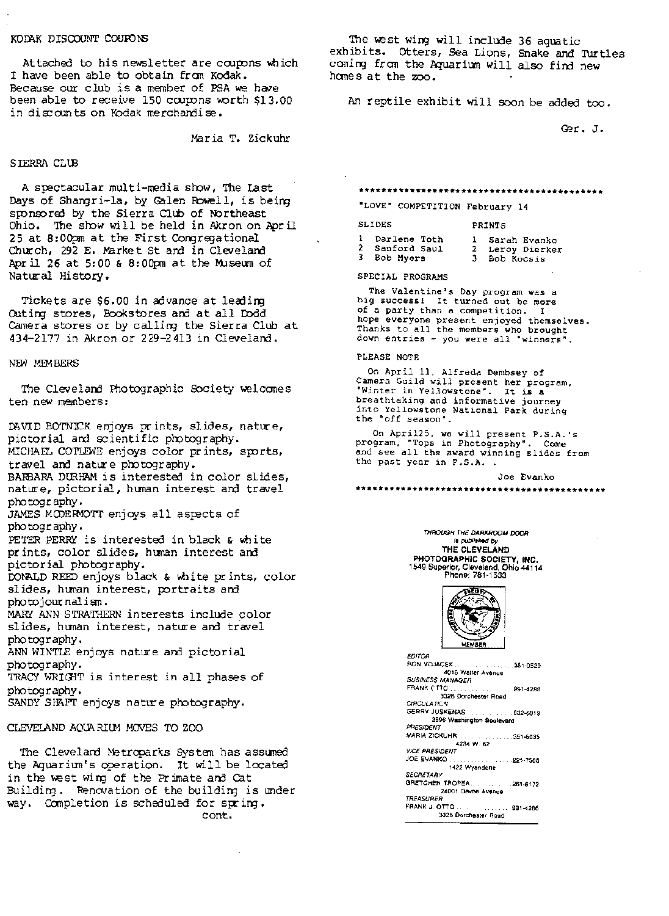### KODAK DISCOUNT COUFONS

Attached to his newsletter are coupons which I have been able to obtain fram Kodak. Because our club is a member of PSA we have been able to receive 150 coupons worth \$13.00 in discounts on Kodak merchandise.

Maria T. Zickuhr

### S IERRA CLUB

A spectacular multi-media show, The last Days of Shangri-la, by Galen Rowell, is being sponsored by the Sierra Club of Northeast Ohio. The show will be held in Akron on April 25 at 8:00pm at the First Corgregational Church, 292 E. Market St and in Cleveland Apr *il* 26 at 5: 00 & 8: OOpm at the MJseum of Natural History.

Tickets are \$6.00 in advance at leading Outing stores, Bookstores and at all Dodd Camera stores or by calling the Sierra Club at 434-2177 in Akron or 229-2413 in Clevelam.

### NEW MEMBERS

The Cleveland Photographic Society welcomes ten new members:

DAVID BOTNICK enjoys prints, slides, nature, pictorial and scientific photography. MICHAEL COTLEWE enjoys color prints, sports,

travel and nature photography. BARBARA DURHAM is interested in color slides,

nature, pictorial, human interest and travel photogr aphy •

JAMES MODERMOTT enjoys all aspects of photogr aphy.

PETER PERRY is interested in black  $\epsilon$  white pr ints, color slides, hunan interest am pictorial photography.

DONALD REED enjoys black & white prints, color slides, human interest, portraits and photojournalisn •

MARY' ANN STRATHERN interests include color slides, human interest, nature and travel photogr aphy •

ANN WINTLE enjoys nature am pictorial photography.

TRACY WRIGHT is interest in all phases of photography.

SANDY SHAFT enjoys nature photography.

### CLEVELAND AQUARIUM MOVES TO ZOO

The Clevelard Metroparks System has assumed the Aquarium's operation. It will be located in the west wing of the Primate and Cat Building. Renovation of the building is under way. Completion is scheduled for spring. cont.

The west wing will include 36 aquatic exhibits. Otters, Sea Lions, Snake and Turtles camirg fram the Aquarium will also find new hanes at the zoo.

An reptile exhibit will soon be added too.

Ger. J.

### *\*\*\*\*\*\*\*\*\*\*\*\*\*\*\*\*\*\*\*\*\*\*r\*\*\*\*\*\*\*\*\*\*\*\*\*\*\*\*\*\*\*\**

"LOVE" COMPETITION February 14

SLIDES PRINTS

| 1 Darlene Toth | 1 Sarah Evanko  |
|----------------|-----------------|
| 2 Sanford Saul | 2 Leroy Dierker |
| 3 Bob Myers    | 3 Bob Kocsis    |

SPECIAL PROGRAMS

The Valentine's Day program was a big success! It turned out be more of a party than a competition. I hope everyone present enjoyed themselves. Thanks to all the members who brought down entries - you were all "winners".

### PLEASE NOTE

On April II, Alfreda Dembsey of Camera Guild will present her program, ·Winter in Yellowstone". It is a breathtaking and informative journey into Yellowstone National Park during the ·off season".

On Apri125, we will present P.S.A.'s program, "Tops in Photography". Come and see all the award winning slides from<br>the past year in P.S.A. .

Joe Evanko

THROUGH THE DARKROOM DOOR Is *publlahod by*  THE CLEVELAND PHOTOGRAPHIC SOCIETY, INC. 1549 Superior, Cleveland, Ohio 44114 Phone: 781-i533

\*\*\*\*\*\*\*\*\*\*\*\*\*\*\*\*\*\*\*\*\*\*\*\*\*\*\*\*\*\*\*\*\*\*\*\*\*\*\*\*\*\*\*\*



EDITOR<br>RON VOJACEK  $8.1.351 - 0529$ 4015 Walter Avenue BUSINESS MANAGER FRANK rTTO . . .991-4286 3326 Dorchester Road CIRCULATIC V GERRY JUSKENAS .... ... . ... 932-6019 2896 Washington Boulevard **PRESIDENT**<br>MARIA ZICKUHR MARIA ZICKUHR . . .351-6035 4234 W. 62 VICE PRESIDENT<br>JOE EVANKO .............................221-7506<br>SECRETARY<br>GRETCHEN TROPEA................261-8172 24001 Devoe Avenue TREASURER FRANK J. OTTO ... ... ............... 991-4286 3326 Dorchester Road